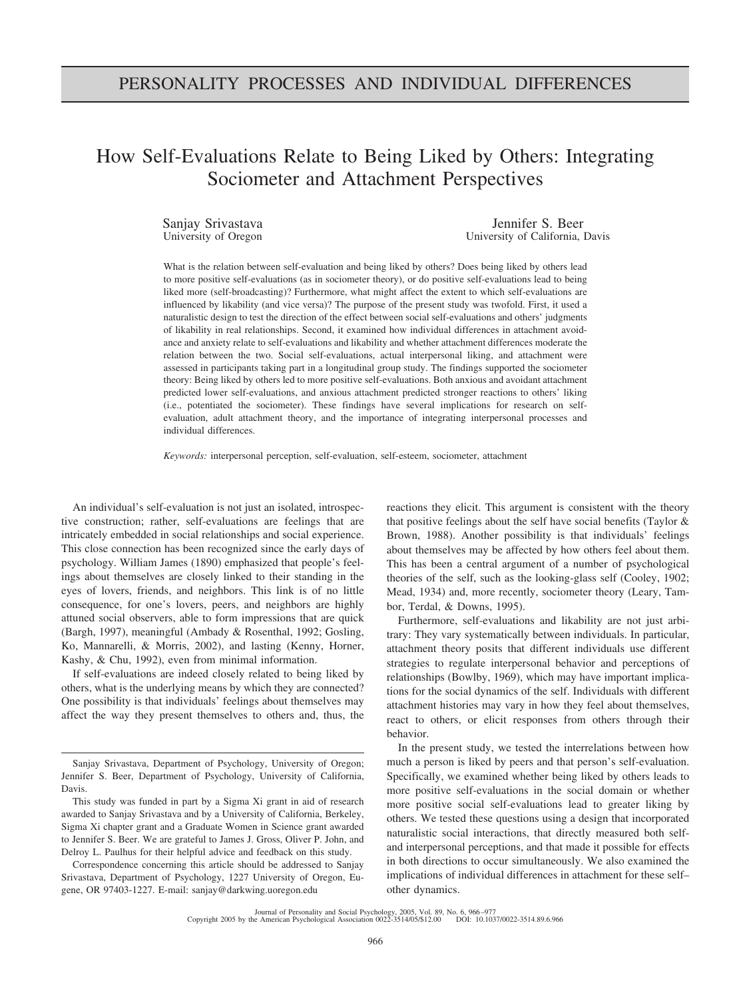# How Self-Evaluations Relate to Being Liked by Others: Integrating Sociometer and Attachment Perspectives

Sanjay Srivastava University of Oregon

Jennifer S. Beer University of California, Davis

What is the relation between self-evaluation and being liked by others? Does being liked by others lead to more positive self-evaluations (as in sociometer theory), or do positive self-evaluations lead to being liked more (self-broadcasting)? Furthermore, what might affect the extent to which self-evaluations are influenced by likability (and vice versa)? The purpose of the present study was twofold. First, it used a naturalistic design to test the direction of the effect between social self-evaluations and others' judgments of likability in real relationships. Second, it examined how individual differences in attachment avoidance and anxiety relate to self-evaluations and likability and whether attachment differences moderate the relation between the two. Social self-evaluations, actual interpersonal liking, and attachment were assessed in participants taking part in a longitudinal group study. The findings supported the sociometer theory: Being liked by others led to more positive self-evaluations. Both anxious and avoidant attachment predicted lower self-evaluations, and anxious attachment predicted stronger reactions to others' liking (i.e., potentiated the sociometer). These findings have several implications for research on selfevaluation, adult attachment theory, and the importance of integrating interpersonal processes and individual differences.

*Keywords:* interpersonal perception, self-evaluation, self-esteem, sociometer, attachment

An individual's self-evaluation is not just an isolated, introspective construction; rather, self-evaluations are feelings that are intricately embedded in social relationships and social experience. This close connection has been recognized since the early days of psychology. William James (1890) emphasized that people's feelings about themselves are closely linked to their standing in the eyes of lovers, friends, and neighbors. This link is of no little consequence, for one's lovers, peers, and neighbors are highly attuned social observers, able to form impressions that are quick (Bargh, 1997), meaningful (Ambady & Rosenthal, 1992; Gosling, Ko, Mannarelli, & Morris, 2002), and lasting (Kenny, Horner, Kashy, & Chu, 1992), even from minimal information.

If self-evaluations are indeed closely related to being liked by others, what is the underlying means by which they are connected? One possibility is that individuals' feelings about themselves may affect the way they present themselves to others and, thus, the

Correspondence concerning this article should be addressed to Sanjay Srivastava, Department of Psychology, 1227 University of Oregon, Eugene, OR 97403-1227. E-mail: sanjay@darkwing.uoregon.edu

reactions they elicit. This argument is consistent with the theory that positive feelings about the self have social benefits (Taylor & Brown, 1988). Another possibility is that individuals' feelings about themselves may be affected by how others feel about them. This has been a central argument of a number of psychological theories of the self, such as the looking-glass self (Cooley, 1902; Mead, 1934) and, more recently, sociometer theory (Leary, Tambor, Terdal, & Downs, 1995).

Furthermore, self-evaluations and likability are not just arbitrary: They vary systematically between individuals. In particular, attachment theory posits that different individuals use different strategies to regulate interpersonal behavior and perceptions of relationships (Bowlby, 1969), which may have important implications for the social dynamics of the self. Individuals with different attachment histories may vary in how they feel about themselves, react to others, or elicit responses from others through their behavior.

In the present study, we tested the interrelations between how much a person is liked by peers and that person's self-evaluation. Specifically, we examined whether being liked by others leads to more positive self-evaluations in the social domain or whether more positive social self-evaluations lead to greater liking by others. We tested these questions using a design that incorporated naturalistic social interactions, that directly measured both selfand interpersonal perceptions, and that made it possible for effects in both directions to occur simultaneously. We also examined the implications of individual differences in attachment for these self– other dynamics.

Sanjay Srivastava, Department of Psychology, University of Oregon; Jennifer S. Beer, Department of Psychology, University of California, Davis.

This study was funded in part by a Sigma Xi grant in aid of research awarded to Sanjay Srivastava and by a University of California, Berkeley, Sigma Xi chapter grant and a Graduate Women in Science grant awarded to Jennifer S. Beer. We are grateful to James J. Gross, Oliver P. John, and Delroy L. Paulhus for their helpful advice and feedback on this study.

Journal of Personality and Social Psychology, 2005, Vol. 89, No. 6, 966 –977 Copyright 2005 by the American Psychological Association 0022-3514/05/\$12.00 DOI: 10.1037/0022-3514.89.6.966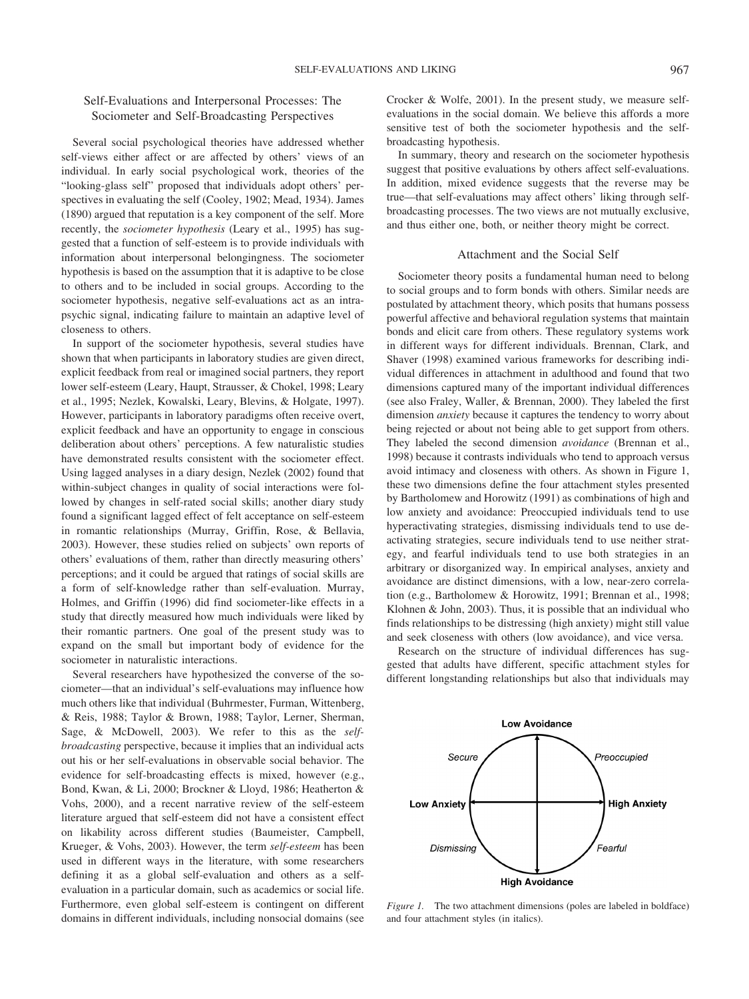### Self-Evaluations and Interpersonal Processes: The Sociometer and Self-Broadcasting Perspectives

Several social psychological theories have addressed whether self-views either affect or are affected by others' views of an individual. In early social psychological work, theories of the "looking-glass self" proposed that individuals adopt others' perspectives in evaluating the self (Cooley, 1902; Mead, 1934). James (1890) argued that reputation is a key component of the self. More recently, the *sociometer hypothesis* (Leary et al., 1995) has suggested that a function of self-esteem is to provide individuals with information about interpersonal belongingness. The sociometer hypothesis is based on the assumption that it is adaptive to be close to others and to be included in social groups. According to the sociometer hypothesis, negative self-evaluations act as an intrapsychic signal, indicating failure to maintain an adaptive level of closeness to others.

In support of the sociometer hypothesis, several studies have shown that when participants in laboratory studies are given direct, explicit feedback from real or imagined social partners, they report lower self-esteem (Leary, Haupt, Strausser, & Chokel, 1998; Leary et al., 1995; Nezlek, Kowalski, Leary, Blevins, & Holgate, 1997). However, participants in laboratory paradigms often receive overt, explicit feedback and have an opportunity to engage in conscious deliberation about others' perceptions. A few naturalistic studies have demonstrated results consistent with the sociometer effect. Using lagged analyses in a diary design, Nezlek (2002) found that within-subject changes in quality of social interactions were followed by changes in self-rated social skills; another diary study found a significant lagged effect of felt acceptance on self-esteem in romantic relationships (Murray, Griffin, Rose, & Bellavia, 2003). However, these studies relied on subjects' own reports of others' evaluations of them, rather than directly measuring others' perceptions; and it could be argued that ratings of social skills are a form of self-knowledge rather than self-evaluation. Murray, Holmes, and Griffin (1996) did find sociometer-like effects in a study that directly measured how much individuals were liked by their romantic partners. One goal of the present study was to expand on the small but important body of evidence for the sociometer in naturalistic interactions.

Several researchers have hypothesized the converse of the sociometer—that an individual's self-evaluations may influence how much others like that individual (Buhrmester, Furman, Wittenberg, & Reis, 1988; Taylor & Brown, 1988; Taylor, Lerner, Sherman, Sage, & McDowell, 2003). We refer to this as the *selfbroadcasting* perspective, because it implies that an individual acts out his or her self-evaluations in observable social behavior. The evidence for self-broadcasting effects is mixed, however (e.g., Bond, Kwan, & Li, 2000; Brockner & Lloyd, 1986; Heatherton & Vohs, 2000), and a recent narrative review of the self-esteem literature argued that self-esteem did not have a consistent effect on likability across different studies (Baumeister, Campbell, Krueger, & Vohs, 2003). However, the term *self-esteem* has been used in different ways in the literature, with some researchers defining it as a global self-evaluation and others as a selfevaluation in a particular domain, such as academics or social life. Furthermore, even global self-esteem is contingent on different domains in different individuals, including nonsocial domains (see

Crocker & Wolfe, 2001). In the present study, we measure selfevaluations in the social domain. We believe this affords a more sensitive test of both the sociometer hypothesis and the selfbroadcasting hypothesis.

In summary, theory and research on the sociometer hypothesis suggest that positive evaluations by others affect self-evaluations. In addition, mixed evidence suggests that the reverse may be true—that self-evaluations may affect others' liking through selfbroadcasting processes. The two views are not mutually exclusive, and thus either one, both, or neither theory might be correct.

#### Attachment and the Social Self

Sociometer theory posits a fundamental human need to belong to social groups and to form bonds with others. Similar needs are postulated by attachment theory, which posits that humans possess powerful affective and behavioral regulation systems that maintain bonds and elicit care from others. These regulatory systems work in different ways for different individuals. Brennan, Clark, and Shaver (1998) examined various frameworks for describing individual differences in attachment in adulthood and found that two dimensions captured many of the important individual differences (see also Fraley, Waller, & Brennan, 2000). They labeled the first dimension *anxiety* because it captures the tendency to worry about being rejected or about not being able to get support from others. They labeled the second dimension *avoidance* (Brennan et al., 1998) because it contrasts individuals who tend to approach versus avoid intimacy and closeness with others. As shown in Figure 1, these two dimensions define the four attachment styles presented by Bartholomew and Horowitz (1991) as combinations of high and low anxiety and avoidance: Preoccupied individuals tend to use hyperactivating strategies, dismissing individuals tend to use deactivating strategies, secure individuals tend to use neither strategy, and fearful individuals tend to use both strategies in an arbitrary or disorganized way. In empirical analyses, anxiety and avoidance are distinct dimensions, with a low, near-zero correlation (e.g., Bartholomew & Horowitz, 1991; Brennan et al., 1998; Klohnen & John, 2003). Thus, it is possible that an individual who finds relationships to be distressing (high anxiety) might still value and seek closeness with others (low avoidance), and vice versa.

Research on the structure of individual differences has suggested that adults have different, specific attachment styles for different longstanding relationships but also that individuals may



*Figure 1.* The two attachment dimensions (poles are labeled in boldface) and four attachment styles (in italics).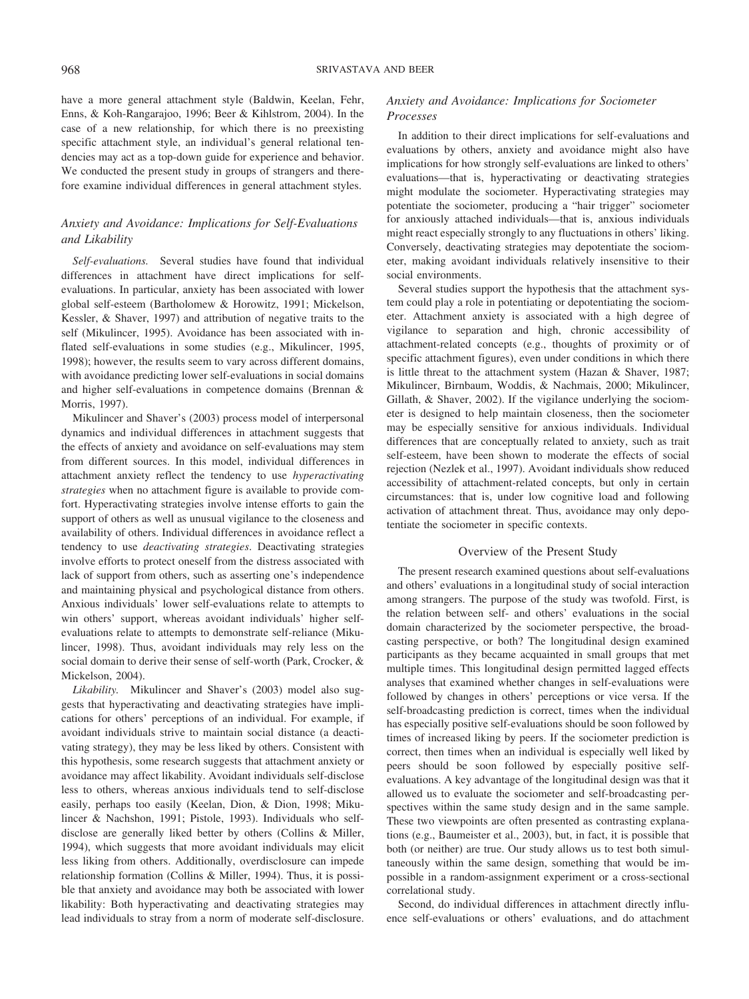have a more general attachment style (Baldwin, Keelan, Fehr, Enns, & Koh-Rangarajoo, 1996; Beer & Kihlstrom, 2004). In the case of a new relationship, for which there is no preexisting specific attachment style, an individual's general relational tendencies may act as a top-down guide for experience and behavior. We conducted the present study in groups of strangers and therefore examine individual differences in general attachment styles.

### *Anxiety and Avoidance: Implications for Self-Evaluations and Likability*

*Self-evaluations.* Several studies have found that individual differences in attachment have direct implications for selfevaluations. In particular, anxiety has been associated with lower global self-esteem (Bartholomew & Horowitz, 1991; Mickelson, Kessler, & Shaver, 1997) and attribution of negative traits to the self (Mikulincer, 1995). Avoidance has been associated with inflated self-evaluations in some studies (e.g., Mikulincer, 1995, 1998); however, the results seem to vary across different domains, with avoidance predicting lower self-evaluations in social domains and higher self-evaluations in competence domains (Brennan & Morris, 1997).

Mikulincer and Shaver's (2003) process model of interpersonal dynamics and individual differences in attachment suggests that the effects of anxiety and avoidance on self-evaluations may stem from different sources. In this model, individual differences in attachment anxiety reflect the tendency to use *hyperactivating strategies* when no attachment figure is available to provide comfort. Hyperactivating strategies involve intense efforts to gain the support of others as well as unusual vigilance to the closeness and availability of others. Individual differences in avoidance reflect a tendency to use *deactivating strategies*. Deactivating strategies involve efforts to protect oneself from the distress associated with lack of support from others, such as asserting one's independence and maintaining physical and psychological distance from others. Anxious individuals' lower self-evaluations relate to attempts to win others' support, whereas avoidant individuals' higher selfevaluations relate to attempts to demonstrate self-reliance (Mikulincer, 1998). Thus, avoidant individuals may rely less on the social domain to derive their sense of self-worth (Park, Crocker, & Mickelson, 2004).

*Likability.* Mikulincer and Shaver's (2003) model also suggests that hyperactivating and deactivating strategies have implications for others' perceptions of an individual. For example, if avoidant individuals strive to maintain social distance (a deactivating strategy), they may be less liked by others. Consistent with this hypothesis, some research suggests that attachment anxiety or avoidance may affect likability. Avoidant individuals self-disclose less to others, whereas anxious individuals tend to self-disclose easily, perhaps too easily (Keelan, Dion, & Dion, 1998; Mikulincer & Nachshon, 1991; Pistole, 1993). Individuals who selfdisclose are generally liked better by others (Collins & Miller, 1994), which suggests that more avoidant individuals may elicit less liking from others. Additionally, overdisclosure can impede relationship formation (Collins & Miller, 1994). Thus, it is possible that anxiety and avoidance may both be associated with lower likability: Both hyperactivating and deactivating strategies may lead individuals to stray from a norm of moderate self-disclosure.

#### *Anxiety and Avoidance: Implications for Sociometer Processes*

In addition to their direct implications for self-evaluations and evaluations by others, anxiety and avoidance might also have implications for how strongly self-evaluations are linked to others' evaluations—that is, hyperactivating or deactivating strategies might modulate the sociometer. Hyperactivating strategies may potentiate the sociometer, producing a "hair trigger" sociometer for anxiously attached individuals—that is, anxious individuals might react especially strongly to any fluctuations in others' liking. Conversely, deactivating strategies may depotentiate the sociometer, making avoidant individuals relatively insensitive to their social environments.

Several studies support the hypothesis that the attachment system could play a role in potentiating or depotentiating the sociometer. Attachment anxiety is associated with a high degree of vigilance to separation and high, chronic accessibility of attachment-related concepts (e.g., thoughts of proximity or of specific attachment figures), even under conditions in which there is little threat to the attachment system (Hazan & Shaver, 1987; Mikulincer, Birnbaum, Woddis, & Nachmais, 2000; Mikulincer, Gillath, & Shaver, 2002). If the vigilance underlying the sociometer is designed to help maintain closeness, then the sociometer may be especially sensitive for anxious individuals. Individual differences that are conceptually related to anxiety, such as trait self-esteem, have been shown to moderate the effects of social rejection (Nezlek et al., 1997). Avoidant individuals show reduced accessibility of attachment-related concepts, but only in certain circumstances: that is, under low cognitive load and following activation of attachment threat. Thus, avoidance may only depotentiate the sociometer in specific contexts.

#### Overview of the Present Study

The present research examined questions about self-evaluations and others' evaluations in a longitudinal study of social interaction among strangers. The purpose of the study was twofold. First, is the relation between self- and others' evaluations in the social domain characterized by the sociometer perspective, the broadcasting perspective, or both? The longitudinal design examined participants as they became acquainted in small groups that met multiple times. This longitudinal design permitted lagged effects analyses that examined whether changes in self-evaluations were followed by changes in others' perceptions or vice versa. If the self-broadcasting prediction is correct, times when the individual has especially positive self-evaluations should be soon followed by times of increased liking by peers. If the sociometer prediction is correct, then times when an individual is especially well liked by peers should be soon followed by especially positive selfevaluations. A key advantage of the longitudinal design was that it allowed us to evaluate the sociometer and self-broadcasting perspectives within the same study design and in the same sample. These two viewpoints are often presented as contrasting explanations (e.g., Baumeister et al., 2003), but, in fact, it is possible that both (or neither) are true. Our study allows us to test both simultaneously within the same design, something that would be impossible in a random-assignment experiment or a cross-sectional correlational study.

Second, do individual differences in attachment directly influence self-evaluations or others' evaluations, and do attachment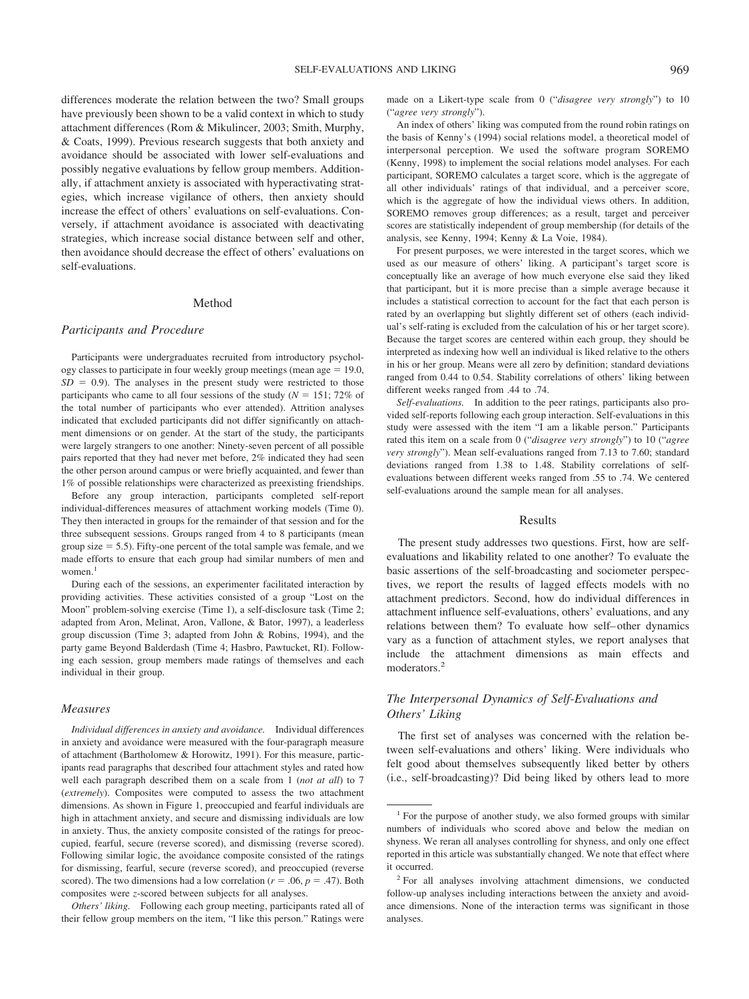differences moderate the relation between the two? Small groups have previously been shown to be a valid context in which to study attachment differences (Rom & Mikulincer, 2003; Smith, Murphy, & Coats, 1999). Previous research suggests that both anxiety and avoidance should be associated with lower self-evaluations and possibly negative evaluations by fellow group members. Additionally, if attachment anxiety is associated with hyperactivating strategies, which increase vigilance of others, then anxiety should increase the effect of others' evaluations on self-evaluations. Conversely, if attachment avoidance is associated with deactivating strategies, which increase social distance between self and other, then avoidance should decrease the effect of others' evaluations on self-evaluations.

#### Method

#### *Participants and Procedure*

Participants were undergraduates recruited from introductory psychology classes to participate in four weekly group meetings (mean age  $= 19.0$ ,  $SD = 0.9$ ). The analyses in the present study were restricted to those participants who came to all four sessions of the study ( $N = 151$ ; 72% of the total number of participants who ever attended). Attrition analyses indicated that excluded participants did not differ significantly on attachment dimensions or on gender. At the start of the study, the participants were largely strangers to one another: Ninety-seven percent of all possible pairs reported that they had never met before, 2% indicated they had seen the other person around campus or were briefly acquainted, and fewer than 1% of possible relationships were characterized as preexisting friendships.

Before any group interaction, participants completed self-report individual-differences measures of attachment working models (Time 0). They then interacted in groups for the remainder of that session and for the three subsequent sessions. Groups ranged from 4 to 8 participants (mean group size  $= 5.5$ ). Fifty-one percent of the total sample was female, and we made efforts to ensure that each group had similar numbers of men and women. $<sup>1</sup>$ </sup>

During each of the sessions, an experimenter facilitated interaction by providing activities. These activities consisted of a group "Lost on the Moon" problem-solving exercise (Time 1), a self-disclosure task (Time 2; adapted from Aron, Melinat, Aron, Vallone, & Bator, 1997), a leaderless group discussion (Time 3; adapted from John & Robins, 1994), and the party game Beyond Balderdash (Time 4; Hasbro, Pawtucket, RI). Following each session, group members made ratings of themselves and each individual in their group.

#### *Measures*

*Individual differences in anxiety and avoidance.* Individual differences in anxiety and avoidance were measured with the four-paragraph measure of attachment (Bartholomew & Horowitz, 1991). For this measure, participants read paragraphs that described four attachment styles and rated how well each paragraph described them on a scale from 1 (*not at all*) to 7 (*extremely*). Composites were computed to assess the two attachment dimensions. As shown in Figure 1, preoccupied and fearful individuals are high in attachment anxiety, and secure and dismissing individuals are low in anxiety. Thus, the anxiety composite consisted of the ratings for preoccupied, fearful, secure (reverse scored), and dismissing (reverse scored). Following similar logic, the avoidance composite consisted of the ratings for dismissing, fearful, secure (reverse scored), and preoccupied (reverse scored). The two dimensions had a low correlation ( $r = .06$ ,  $p = .47$ ). Both composites were *z*-scored between subjects for all analyses.

*Others' liking.* Following each group meeting, participants rated all of their fellow group members on the item, "I like this person." Ratings were

made on a Likert-type scale from 0 ("*disagree very strongly*") to 10 ("*agree very strongly*").

An index of others' liking was computed from the round robin ratings on the basis of Kenny's (1994) social relations model, a theoretical model of interpersonal perception. We used the software program SOREMO (Kenny, 1998) to implement the social relations model analyses. For each participant, SOREMO calculates a target score, which is the aggregate of all other individuals' ratings of that individual, and a perceiver score, which is the aggregate of how the individual views others. In addition, SOREMO removes group differences; as a result, target and perceiver scores are statistically independent of group membership (for details of the analysis, see Kenny, 1994; Kenny & La Voie, 1984).

For present purposes, we were interested in the target scores, which we used as our measure of others' liking. A participant's target score is conceptually like an average of how much everyone else said they liked that participant, but it is more precise than a simple average because it includes a statistical correction to account for the fact that each person is rated by an overlapping but slightly different set of others (each individual's self-rating is excluded from the calculation of his or her target score). Because the target scores are centered within each group, they should be interpreted as indexing how well an individual is liked relative to the others in his or her group. Means were all zero by definition; standard deviations ranged from 0.44 to 0.54. Stability correlations of others' liking between different weeks ranged from .44 to .74.

*Self-evaluations.* In addition to the peer ratings, participants also provided self-reports following each group interaction. Self-evaluations in this study were assessed with the item "I am a likable person." Participants rated this item on a scale from 0 ("*disagree very strongly*") to 10 ("*agree very strongly*"). Mean self-evaluations ranged from 7.13 to 7.60; standard deviations ranged from 1.38 to 1.48. Stability correlations of selfevaluations between different weeks ranged from .55 to .74. We centered self-evaluations around the sample mean for all analyses.

#### Results

The present study addresses two questions. First, how are selfevaluations and likability related to one another? To evaluate the basic assertions of the self-broadcasting and sociometer perspectives, we report the results of lagged effects models with no attachment predictors. Second, how do individual differences in attachment influence self-evaluations, others' evaluations, and any relations between them? To evaluate how self– other dynamics vary as a function of attachment styles, we report analyses that include the attachment dimensions as main effects and moderators.<sup>2</sup>

# *The Interpersonal Dynamics of Self-Evaluations and Others' Liking*

The first set of analyses was concerned with the relation between self-evaluations and others' liking. Were individuals who felt good about themselves subsequently liked better by others (i.e., self-broadcasting)? Did being liked by others lead to more

 $1$  For the purpose of another study, we also formed groups with similar numbers of individuals who scored above and below the median on shyness. We reran all analyses controlling for shyness, and only one effect reported in this article was substantially changed. We note that effect where it occurred.

<sup>2</sup> For all analyses involving attachment dimensions, we conducted follow-up analyses including interactions between the anxiety and avoidance dimensions. None of the interaction terms was significant in those analyses.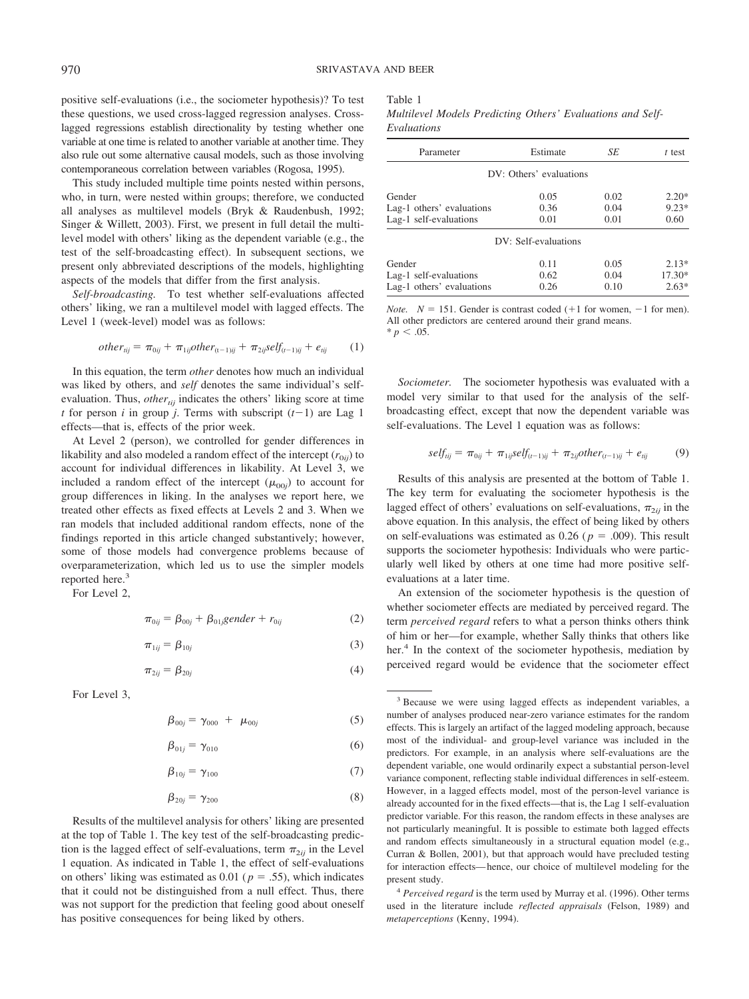positive self-evaluations (i.e., the sociometer hypothesis)? To test these questions, we used cross-lagged regression analyses. Crosslagged regressions establish directionality by testing whether one variable at one time is related to another variable at another time. They also rule out some alternative causal models, such as those involving contemporaneous correlation between variables (Rogosa, 1995).

This study included multiple time points nested within persons, who, in turn, were nested within groups; therefore, we conducted all analyses as multilevel models (Bryk & Raudenbush, 1992; Singer & Willett, 2003). First, we present in full detail the multilevel model with others' liking as the dependent variable (e.g., the test of the self-broadcasting effect). In subsequent sections, we present only abbreviated descriptions of the models, highlighting aspects of the models that differ from the first analysis.

*Self-broadcasting.* To test whether self-evaluations affected others' liking, we ran a multilevel model with lagged effects. The Level 1 (week-level) model was as follows:

*other*<sub>tij</sub> = 
$$
\pi_{0ij} + \pi_{1ij}
$$
*other*<sub>(t-1)ij</sub> +  $\pi_{2ij}$ *self*<sub>(t-1)ij</sub> +  $e_{tij}$  (1)

In this equation, the term *other* denotes how much an individual was liked by others, and *self* denotes the same individual's selfevaluation. Thus, *other<sub>tij</sub>* indicates the others' liking score at time *t* for person *i* in group *j*. Terms with subscript  $(t-1)$  are Lag 1 effects—that is, effects of the prior week.

At Level 2 (person), we controlled for gender differences in likability and also modeled a random effect of the intercept  $(r_{0ii})$  to account for individual differences in likability. At Level 3, we included a random effect of the intercept  $(\mu_{00j})$  to account for group differences in liking. In the analyses we report here, we treated other effects as fixed effects at Levels 2 and 3. When we ran models that included additional random effects, none of the findings reported in this article changed substantively; however, some of those models had convergence problems because of overparameterization, which led us to use the simpler models reported here.<sup>3</sup>

For Level 2,

$$
\pi_{0ij} = \beta_{00j} + \beta_{01j} gender + r_{0ij}
$$
 (2)

$$
\pi_{1ij} = \beta_{10j} \tag{3}
$$

$$
\pi_{2ij} = \beta_{20j} \tag{4}
$$

For Level 3,

$$
\beta_{00j} = \gamma_{000} + \mu_{00j} \tag{5}
$$

$$
\beta_{01j} = \gamma_{010} \tag{6}
$$

$$
\beta_{10j} = \gamma_{100} \tag{7}
$$

$$
\beta_{20j} = \gamma_{200} \tag{8}
$$

Results of the multilevel analysis for others' liking are presented at the top of Table 1. The key test of the self-broadcasting prediction is the lagged effect of self-evaluations, term  $\pi_{2ij}$  in the Level 1 equation. As indicated in Table 1, the effect of self-evaluations on others' liking was estimated as  $0.01$  ( $p = .55$ ), which indicates that it could not be distinguished from a null effect. Thus, there was not support for the prediction that feeling good about oneself has positive consequences for being liked by others.

# Table 1

*Multilevel Models Predicting Others' Evaluations and Self-Evaluations*

| Parameter                 | Estimate                | SE   | $t$ test |
|---------------------------|-------------------------|------|----------|
|                           | DV: Others' evaluations |      |          |
| Gender                    | 0.05                    | 0.02 | $2.20*$  |
| Lag-1 others' evaluations | 0.36                    | 0.04 | $9.23*$  |
| Lag-1 self-evaluations    | 0.01                    | 0.01 | 0.60     |
|                           | DV: Self-evaluations    |      |          |
| Gender                    | 0.11                    | 0.05 | $2.13*$  |
| Lag-1 self-evaluations    | 0.62                    | 0.04 | 17.30*   |
| Lag-1 others' evaluations | 0.26                    | 0.10 | $2.63*$  |
|                           |                         |      |          |

*Note.*  $N = 151$ . Gender is contrast coded  $(+1$  for women,  $-1$  for men). All other predictors are centered around their grand means.  $* p < .05$ .

*Sociometer.* The sociometer hypothesis was evaluated with a model very similar to that used for the analysis of the selfbroadcasting effect, except that now the dependent variable was self-evaluations. The Level 1 equation was as follows:

$$
self_{ij} = \pi_{0ij} + \pi_{1ij} self_{(t-1)ij} + \pi_{2ij} other_{(t-1)ij} + e_{ij}
$$
 (9)

Results of this analysis are presented at the bottom of Table 1. The key term for evaluating the sociometer hypothesis is the lagged effect of others' evaluations on self-evaluations,  $\pi_{2ij}$  in the above equation. In this analysis, the effect of being liked by others on self-evaluations was estimated as  $0.26$  ( $p = .009$ ). This result supports the sociometer hypothesis: Individuals who were particularly well liked by others at one time had more positive selfevaluations at a later time.

An extension of the sociometer hypothesis is the question of whether sociometer effects are mediated by perceived regard. The term *perceived regard* refers to what a person thinks others think of him or her—for example, whether Sally thinks that others like her.<sup>4</sup> In the context of the sociometer hypothesis, mediation by perceived regard would be evidence that the sociometer effect

<sup>3</sup> Because we were using lagged effects as independent variables, a number of analyses produced near-zero variance estimates for the random effects. This is largely an artifact of the lagged modeling approach, because most of the individual- and group-level variance was included in the predictors. For example, in an analysis where self-evaluations are the dependent variable, one would ordinarily expect a substantial person-level variance component, reflecting stable individual differences in self-esteem. However, in a lagged effects model, most of the person-level variance is already accounted for in the fixed effects—that is, the Lag 1 self-evaluation predictor variable. For this reason, the random effects in these analyses are not particularly meaningful. It is possible to estimate both lagged effects and random effects simultaneously in a structural equation model (e.g., Curran & Bollen, 2001), but that approach would have precluded testing for interaction effects— hence, our choice of multilevel modeling for the present study.

<sup>4</sup> *Perceived regard* is the term used by Murray et al. (1996). Other terms used in the literature include *reflected appraisals* (Felson, 1989) and *metaperceptions* (Kenny, 1994).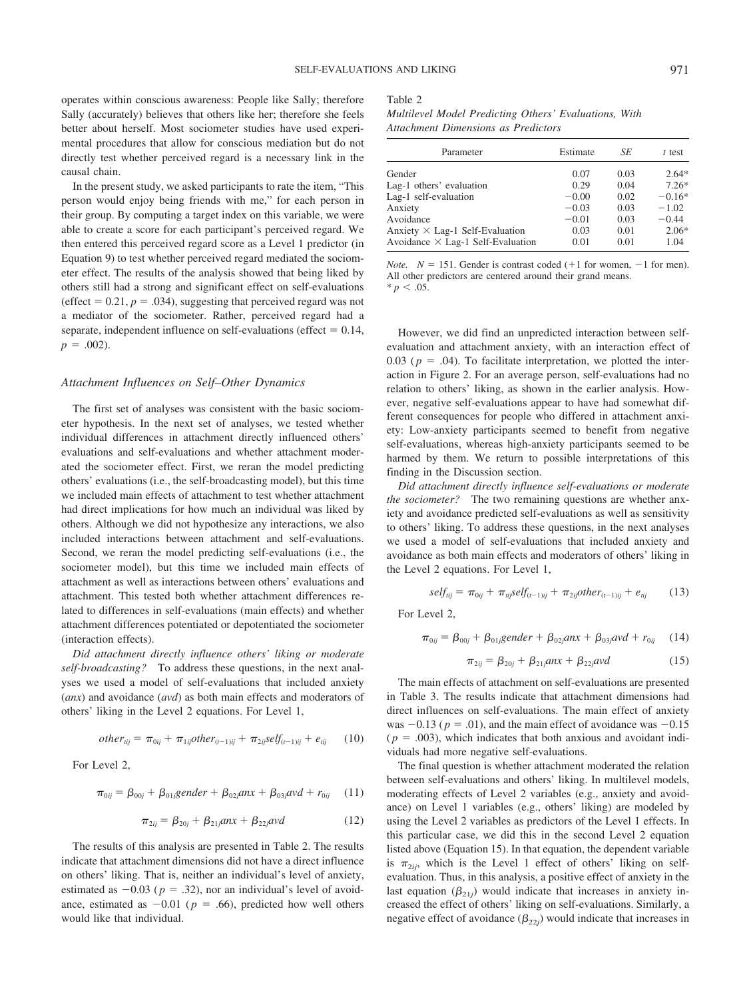operates within conscious awareness: People like Sally; therefore Sally (accurately) believes that others like her; therefore she feels better about herself. Most sociometer studies have used experimental procedures that allow for conscious mediation but do not directly test whether perceived regard is a necessary link in the causal chain.

In the present study, we asked participants to rate the item, "This person would enjoy being friends with me," for each person in their group. By computing a target index on this variable, we were able to create a score for each participant's perceived regard. We then entered this perceived regard score as a Level 1 predictor (in Equation 9) to test whether perceived regard mediated the sociometer effect. The results of the analysis showed that being liked by others still had a strong and significant effect on self-evaluations (effect  $= 0.21, p = .034$ ), suggesting that perceived regard was not a mediator of the sociometer. Rather, perceived regard had a separate, independent influence on self-evaluations (effect  $= 0.14$ ,  $p = .002$ ).

#### *Attachment Influences on Self–Other Dynamics*

The first set of analyses was consistent with the basic sociometer hypothesis. In the next set of analyses, we tested whether individual differences in attachment directly influenced others' evaluations and self-evaluations and whether attachment moderated the sociometer effect. First, we reran the model predicting others' evaluations (i.e., the self-broadcasting model), but this time we included main effects of attachment to test whether attachment had direct implications for how much an individual was liked by others. Although we did not hypothesize any interactions, we also included interactions between attachment and self-evaluations. Second, we reran the model predicting self-evaluations (i.e., the sociometer model), but this time we included main effects of attachment as well as interactions between others' evaluations and attachment. This tested both whether attachment differences related to differences in self-evaluations (main effects) and whether attachment differences potentiated or depotentiated the sociometer (interaction effects).

*Did attachment directly influence others' liking or moderate self-broadcasting?* To address these questions, in the next analyses we used a model of self-evaluations that included anxiety (*anx*) and avoidance (*avd*) as both main effects and moderators of others' liking in the Level 2 equations. For Level 1,

$$
other_{ij} = \pi_{0ij} + \pi_{1ij} other_{(t-1)ij} + \pi_{2ij} self_{(t-1)ij} + e_{ij} \qquad (10)
$$

For Level 2,

$$
\pi_{0ij} = \beta_{00j} + \beta_{01j} gender + \beta_{02j} anx + \beta_{03j} avd + r_{0ij} \quad (11)
$$

$$
\pi_{2ij} = \beta_{20j} + \beta_{21j}an x + \beta_{22j}av d \tag{12}
$$

The results of this analysis are presented in Table 2. The results indicate that attachment dimensions did not have a direct influence on others' liking. That is, neither an individual's level of anxiety, estimated as  $-0.03$  ( $p = .32$ ), nor an individual's level of avoidance, estimated as  $-0.01$  ( $p = .66$ ), predicted how well others would like that individual.

# Table 2

*Multilevel Model Predicting Others' Evaluations, With Attachment Dimensions as Predictors*

| Parameter                                | Estimate | SE   | t test   |
|------------------------------------------|----------|------|----------|
| Gender                                   | 0.07     | 0.03 | $2.64*$  |
| Lag-1 others' evaluation                 | 0.29     | 0.04 | $7.26*$  |
| Lag-1 self-evaluation                    | $-0.00$  | 0.02 | $-0.16*$ |
| Anxiety                                  | $-0.03$  | 0.03 | $-1.02$  |
| Avoidance                                | $-0.01$  | 0.03 | $-0.44$  |
| Anxiety $\times$ Lag-1 Self-Evaluation   | 0.03     | 0.01 | $2.06*$  |
| Avoidance $\times$ Lag-1 Self-Evaluation | 0.01     | 0.01 | 1.04     |

*Note.*  $N = 151$ . Gender is contrast coded  $(+1$  for women,  $-1$  for men). All other predictors are centered around their grand means.  $* p < .05.$ 

However, we did find an unpredicted interaction between selfevaluation and attachment anxiety, with an interaction effect of 0.03 ( $p = .04$ ). To facilitate interpretation, we plotted the interaction in Figure 2. For an average person, self-evaluations had no relation to others' liking, as shown in the earlier analysis. However, negative self-evaluations appear to have had somewhat different consequences for people who differed in attachment anxiety: Low-anxiety participants seemed to benefit from negative self-evaluations, whereas high-anxiety participants seemed to be harmed by them. We return to possible interpretations of this finding in the Discussion section.

*Did attachment directly influence self-evaluations or moderate the sociometer?* The two remaining questions are whether anxiety and avoidance predicted self-evaluations as well as sensitivity to others' liking. To address these questions, in the next analyses we used a model of self-evaluations that included anxiety and avoidance as both main effects and moderators of others' liking in the Level 2 equations. For Level 1,

$$
self_{tij} = \pi_{0ij} + \pi_{tij} self_{(t-1)ij} + \pi_{2ij} other_{(t-1)ij} + e_{tij}
$$
 (13)

For Level 2,

$$
\pi_{0ij} = \beta_{00j} + \beta_{01j} gender + \beta_{02j} anx + \beta_{03j} avd + r_{0ij} \quad (14)
$$

$$
\pi_{2ij} = \beta_{20j} + \beta_{21j}an x + \beta_{22j}av d \tag{15}
$$

The main effects of attachment on self-evaluations are presented in Table 3. The results indicate that attachment dimensions had direct influences on self-evaluations. The main effect of anxiety was  $-0.13$  ( $p = .01$ ), and the main effect of avoidance was  $-0.15$  $(p = .003)$ , which indicates that both anxious and avoidant individuals had more negative self-evaluations.

The final question is whether attachment moderated the relation between self-evaluations and others' liking. In multilevel models, moderating effects of Level 2 variables (e.g., anxiety and avoidance) on Level 1 variables (e.g., others' liking) are modeled by using the Level 2 variables as predictors of the Level 1 effects. In this particular case, we did this in the second Level 2 equation listed above (Equation 15). In that equation, the dependent variable is  $\pi_{2ij}$ , which is the Level 1 effect of others' liking on selfevaluation. Thus, in this analysis, a positive effect of anxiety in the last equation  $(\beta_{21j})$  would indicate that increases in anxiety increased the effect of others' liking on self-evaluations. Similarly, a negative effect of avoidance  $(\beta_{22j})$  would indicate that increases in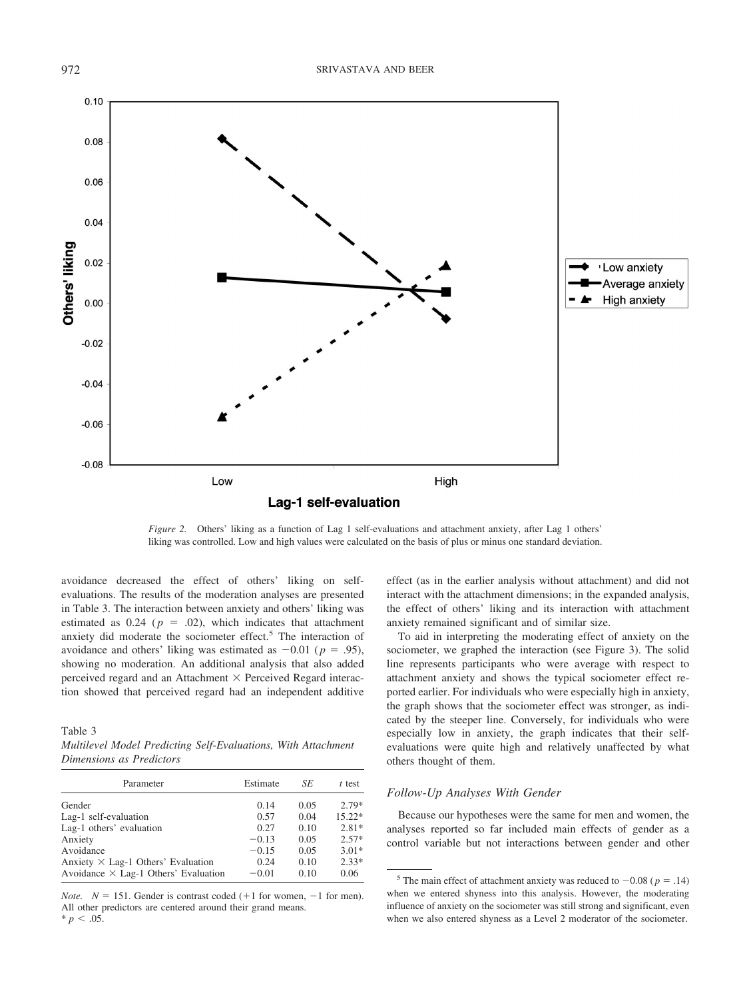

*Figure 2.* Others' liking as a function of Lag 1 self-evaluations and attachment anxiety, after Lag 1 others' liking was controlled. Low and high values were calculated on the basis of plus or minus one standard deviation.

avoidance decreased the effect of others' liking on selfevaluations. The results of the moderation analyses are presented in Table 3. The interaction between anxiety and others' liking was estimated as  $0.24$  ( $p = .02$ ), which indicates that attachment anxiety did moderate the sociometer effect.<sup>5</sup> The interaction of avoidance and others' liking was estimated as  $-0.01$  ( $p = .95$ ), showing no moderation. An additional analysis that also added perceived regard and an Attachment  $\times$  Perceived Regard interaction showed that perceived regard had an independent additive

#### Table 3

*Multilevel Model Predicting Self-Evaluations, With Attachment Dimensions as Predictors*

| Parameter                                   | Estimate | SE   | t test   |
|---------------------------------------------|----------|------|----------|
| Gender                                      | 0.14     | 0.05 | $2.79*$  |
| Lag-1 self-evaluation                       | 0.57     | 0.04 | $15.22*$ |
| Lag-1 others' evaluation                    | 0.27     | 0.10 | $2.81*$  |
| Anxiety                                     | $-0.13$  | 0.05 | $2.57*$  |
| Avoidance                                   | $-0.15$  | 0.05 | $3.01*$  |
| Anxiety $\times$ Lag-1 Others' Evaluation   | 0.24     | 0.10 | $2.33*$  |
| Avoidance $\times$ Lag-1 Others' Evaluation | $-0.01$  | 0.10 | 0.06     |

*Note.*  $N = 151$ . Gender is contrast coded  $(+1$  for women,  $-1$  for men). All other predictors are centered around their grand means.  $* p < .05.$ 

effect (as in the earlier analysis without attachment) and did not interact with the attachment dimensions; in the expanded analysis, the effect of others' liking and its interaction with attachment anxiety remained significant and of similar size.

To aid in interpreting the moderating effect of anxiety on the sociometer, we graphed the interaction (see Figure 3). The solid line represents participants who were average with respect to attachment anxiety and shows the typical sociometer effect reported earlier. For individuals who were especially high in anxiety, the graph shows that the sociometer effect was stronger, as indicated by the steeper line. Conversely, for individuals who were especially low in anxiety, the graph indicates that their selfevaluations were quite high and relatively unaffected by what others thought of them.

#### *Follow-Up Analyses With Gender*

Because our hypotheses were the same for men and women, the analyses reported so far included main effects of gender as a control variable but not interactions between gender and other

<sup>&</sup>lt;sup>5</sup> The main effect of attachment anxiety was reduced to  $-0.08$  ( $p = .14$ ) when we entered shyness into this analysis. However, the moderating influence of anxiety on the sociometer was still strong and significant, even when we also entered shyness as a Level 2 moderator of the sociometer.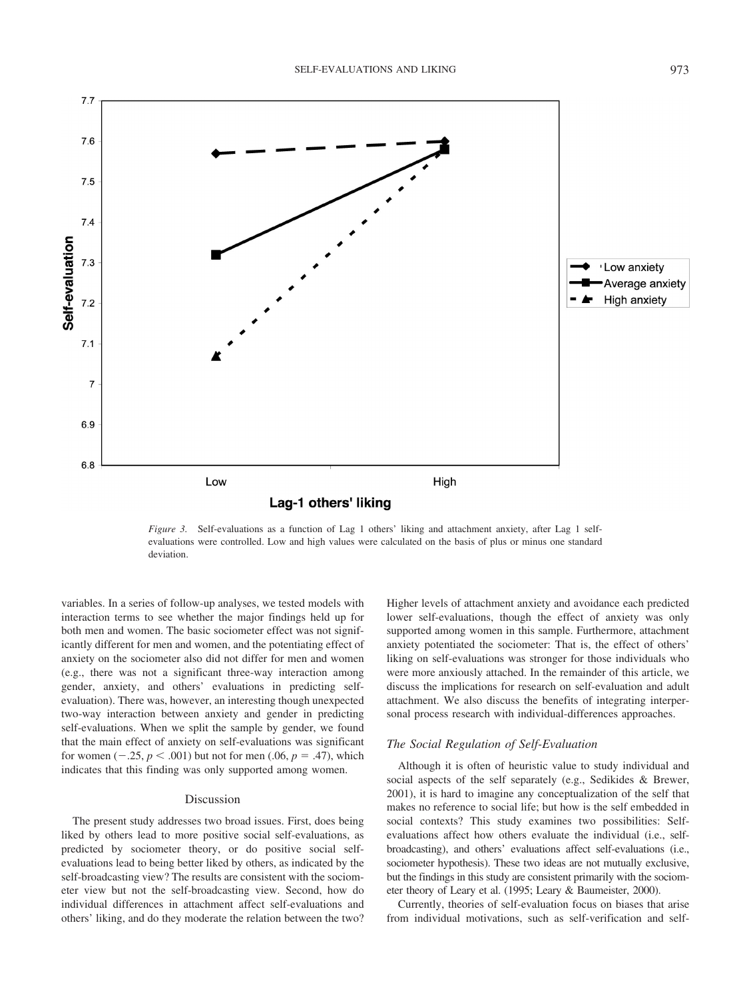

*Figure 3.* Self-evaluations as a function of Lag 1 others' liking and attachment anxiety, after Lag 1 selfevaluations were controlled. Low and high values were calculated on the basis of plus or minus one standard deviation.

variables. In a series of follow-up analyses, we tested models with interaction terms to see whether the major findings held up for both men and women. The basic sociometer effect was not significantly different for men and women, and the potentiating effect of anxiety on the sociometer also did not differ for men and women (e.g., there was not a significant three-way interaction among gender, anxiety, and others' evaluations in predicting selfevaluation). There was, however, an interesting though unexpected two-way interaction between anxiety and gender in predicting self-evaluations. When we split the sample by gender, we found that the main effect of anxiety on self-evaluations was significant for women  $(-.25, p < .001)$  but not for men  $(.06, p = .47)$ , which indicates that this finding was only supported among women.

#### Discussion

The present study addresses two broad issues. First, does being liked by others lead to more positive social self-evaluations, as predicted by sociometer theory, or do positive social selfevaluations lead to being better liked by others, as indicated by the self-broadcasting view? The results are consistent with the sociometer view but not the self-broadcasting view. Second, how do individual differences in attachment affect self-evaluations and others' liking, and do they moderate the relation between the two? Higher levels of attachment anxiety and avoidance each predicted lower self-evaluations, though the effect of anxiety was only supported among women in this sample. Furthermore, attachment anxiety potentiated the sociometer: That is, the effect of others' liking on self-evaluations was stronger for those individuals who were more anxiously attached. In the remainder of this article, we discuss the implications for research on self-evaluation and adult attachment. We also discuss the benefits of integrating interpersonal process research with individual-differences approaches.

#### *The Social Regulation of Self-Evaluation*

Although it is often of heuristic value to study individual and social aspects of the self separately (e.g., Sedikides & Brewer, 2001), it is hard to imagine any conceptualization of the self that makes no reference to social life; but how is the self embedded in social contexts? This study examines two possibilities: Selfevaluations affect how others evaluate the individual (i.e., selfbroadcasting), and others' evaluations affect self-evaluations (i.e., sociometer hypothesis). These two ideas are not mutually exclusive, but the findings in this study are consistent primarily with the sociometer theory of Leary et al. (1995; Leary & Baumeister, 2000).

Currently, theories of self-evaluation focus on biases that arise from individual motivations, such as self-verification and self-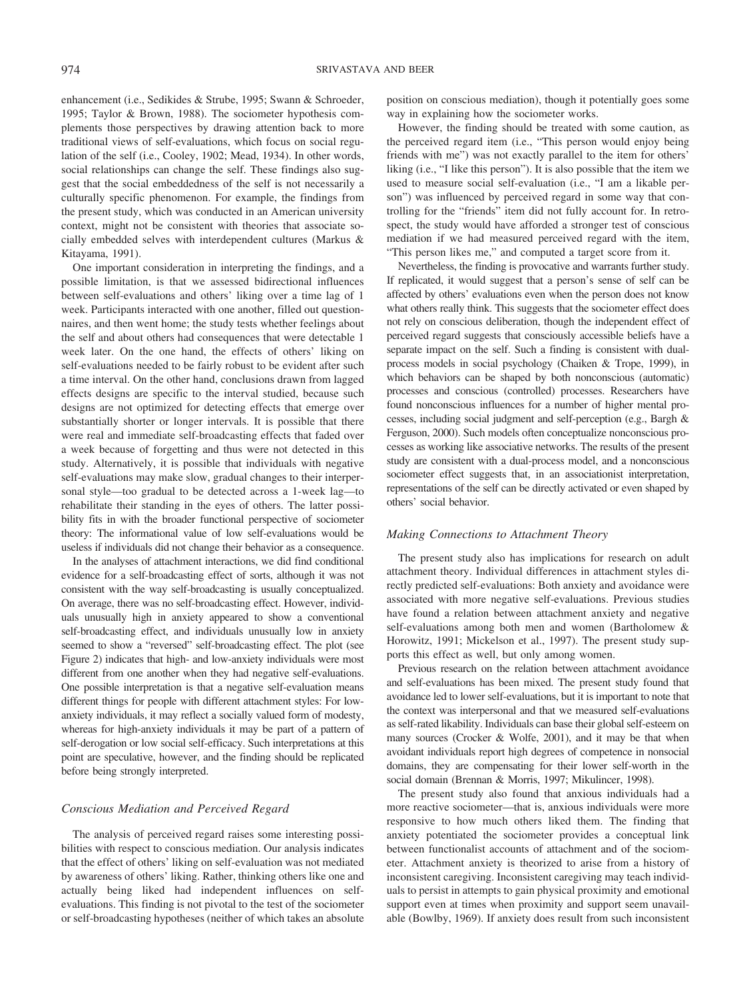enhancement (i.e., Sedikides & Strube, 1995; Swann & Schroeder, 1995; Taylor & Brown, 1988). The sociometer hypothesis complements those perspectives by drawing attention back to more traditional views of self-evaluations, which focus on social regulation of the self (i.e., Cooley, 1902; Mead, 1934). In other words, social relationships can change the self. These findings also suggest that the social embeddedness of the self is not necessarily a culturally specific phenomenon. For example, the findings from the present study, which was conducted in an American university context, might not be consistent with theories that associate socially embedded selves with interdependent cultures (Markus & Kitayama, 1991).

One important consideration in interpreting the findings, and a possible limitation, is that we assessed bidirectional influences between self-evaluations and others' liking over a time lag of 1 week. Participants interacted with one another, filled out questionnaires, and then went home; the study tests whether feelings about the self and about others had consequences that were detectable 1 week later. On the one hand, the effects of others' liking on self-evaluations needed to be fairly robust to be evident after such a time interval. On the other hand, conclusions drawn from lagged effects designs are specific to the interval studied, because such designs are not optimized for detecting effects that emerge over substantially shorter or longer intervals. It is possible that there were real and immediate self-broadcasting effects that faded over a week because of forgetting and thus were not detected in this study. Alternatively, it is possible that individuals with negative self-evaluations may make slow, gradual changes to their interpersonal style—too gradual to be detected across a 1-week lag—to rehabilitate their standing in the eyes of others. The latter possibility fits in with the broader functional perspective of sociometer theory: The informational value of low self-evaluations would be useless if individuals did not change their behavior as a consequence.

In the analyses of attachment interactions, we did find conditional evidence for a self-broadcasting effect of sorts, although it was not consistent with the way self-broadcasting is usually conceptualized. On average, there was no self-broadcasting effect. However, individuals unusually high in anxiety appeared to show a conventional self-broadcasting effect, and individuals unusually low in anxiety seemed to show a "reversed" self-broadcasting effect. The plot (see Figure 2) indicates that high- and low-anxiety individuals were most different from one another when they had negative self-evaluations. One possible interpretation is that a negative self-evaluation means different things for people with different attachment styles: For lowanxiety individuals, it may reflect a socially valued form of modesty, whereas for high-anxiety individuals it may be part of a pattern of self-derogation or low social self-efficacy. Such interpretations at this point are speculative, however, and the finding should be replicated before being strongly interpreted.

#### *Conscious Mediation and Perceived Regard*

The analysis of perceived regard raises some interesting possibilities with respect to conscious mediation. Our analysis indicates that the effect of others' liking on self-evaluation was not mediated by awareness of others' liking. Rather, thinking others like one and actually being liked had independent influences on selfevaluations. This finding is not pivotal to the test of the sociometer or self-broadcasting hypotheses (neither of which takes an absolute position on conscious mediation), though it potentially goes some way in explaining how the sociometer works.

However, the finding should be treated with some caution, as the perceived regard item (i.e., "This person would enjoy being friends with me") was not exactly parallel to the item for others' liking (i.e., "I like this person"). It is also possible that the item we used to measure social self-evaluation (i.e., "I am a likable person") was influenced by perceived regard in some way that controlling for the "friends" item did not fully account for. In retrospect, the study would have afforded a stronger test of conscious mediation if we had measured perceived regard with the item, "This person likes me," and computed a target score from it.

Nevertheless, the finding is provocative and warrants further study. If replicated, it would suggest that a person's sense of self can be affected by others' evaluations even when the person does not know what others really think. This suggests that the sociometer effect does not rely on conscious deliberation, though the independent effect of perceived regard suggests that consciously accessible beliefs have a separate impact on the self. Such a finding is consistent with dualprocess models in social psychology (Chaiken & Trope, 1999), in which behaviors can be shaped by both nonconscious (automatic) processes and conscious (controlled) processes. Researchers have found nonconscious influences for a number of higher mental processes, including social judgment and self-perception (e.g., Bargh & Ferguson, 2000). Such models often conceptualize nonconscious processes as working like associative networks. The results of the present study are consistent with a dual-process model, and a nonconscious sociometer effect suggests that, in an associationist interpretation, representations of the self can be directly activated or even shaped by others' social behavior.

#### *Making Connections to Attachment Theory*

The present study also has implications for research on adult attachment theory. Individual differences in attachment styles directly predicted self-evaluations: Both anxiety and avoidance were associated with more negative self-evaluations. Previous studies have found a relation between attachment anxiety and negative self-evaluations among both men and women (Bartholomew & Horowitz, 1991; Mickelson et al., 1997). The present study supports this effect as well, but only among women.

Previous research on the relation between attachment avoidance and self-evaluations has been mixed. The present study found that avoidance led to lower self-evaluations, but it is important to note that the context was interpersonal and that we measured self-evaluations as self-rated likability. Individuals can base their global self-esteem on many sources (Crocker & Wolfe, 2001), and it may be that when avoidant individuals report high degrees of competence in nonsocial domains, they are compensating for their lower self-worth in the social domain (Brennan & Morris, 1997; Mikulincer, 1998).

The present study also found that anxious individuals had a more reactive sociometer—that is, anxious individuals were more responsive to how much others liked them. The finding that anxiety potentiated the sociometer provides a conceptual link between functionalist accounts of attachment and of the sociometer. Attachment anxiety is theorized to arise from a history of inconsistent caregiving. Inconsistent caregiving may teach individuals to persist in attempts to gain physical proximity and emotional support even at times when proximity and support seem unavailable (Bowlby, 1969). If anxiety does result from such inconsistent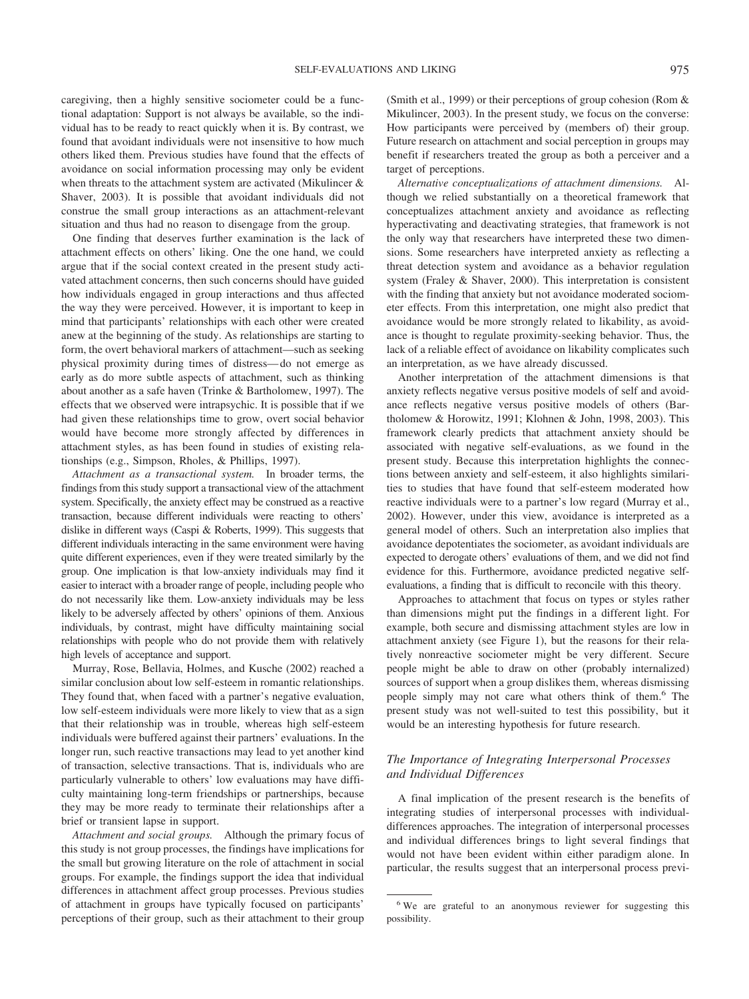caregiving, then a highly sensitive sociometer could be a functional adaptation: Support is not always be available, so the individual has to be ready to react quickly when it is. By contrast, we found that avoidant individuals were not insensitive to how much others liked them. Previous studies have found that the effects of avoidance on social information processing may only be evident when threats to the attachment system are activated (Mikulincer & Shaver, 2003). It is possible that avoidant individuals did not construe the small group interactions as an attachment-relevant situation and thus had no reason to disengage from the group.

One finding that deserves further examination is the lack of attachment effects on others' liking. One the one hand, we could argue that if the social context created in the present study activated attachment concerns, then such concerns should have guided how individuals engaged in group interactions and thus affected the way they were perceived. However, it is important to keep in mind that participants' relationships with each other were created anew at the beginning of the study. As relationships are starting to form, the overt behavioral markers of attachment—such as seeking physical proximity during times of distress— do not emerge as early as do more subtle aspects of attachment, such as thinking about another as a safe haven (Trinke & Bartholomew, 1997). The effects that we observed were intrapsychic. It is possible that if we had given these relationships time to grow, overt social behavior would have become more strongly affected by differences in attachment styles, as has been found in studies of existing relationships (e.g., Simpson, Rholes, & Phillips, 1997).

*Attachment as a transactional system.* In broader terms, the findings from this study support a transactional view of the attachment system. Specifically, the anxiety effect may be construed as a reactive transaction, because different individuals were reacting to others' dislike in different ways (Caspi & Roberts, 1999). This suggests that different individuals interacting in the same environment were having quite different experiences, even if they were treated similarly by the group. One implication is that low-anxiety individuals may find it easier to interact with a broader range of people, including people who do not necessarily like them. Low-anxiety individuals may be less likely to be adversely affected by others' opinions of them. Anxious individuals, by contrast, might have difficulty maintaining social relationships with people who do not provide them with relatively high levels of acceptance and support.

Murray, Rose, Bellavia, Holmes, and Kusche (2002) reached a similar conclusion about low self-esteem in romantic relationships. They found that, when faced with a partner's negative evaluation, low self-esteem individuals were more likely to view that as a sign that their relationship was in trouble, whereas high self-esteem individuals were buffered against their partners' evaluations. In the longer run, such reactive transactions may lead to yet another kind of transaction, selective transactions. That is, individuals who are particularly vulnerable to others' low evaluations may have difficulty maintaining long-term friendships or partnerships, because they may be more ready to terminate their relationships after a brief or transient lapse in support.

*Attachment and social groups.* Although the primary focus of this study is not group processes, the findings have implications for the small but growing literature on the role of attachment in social groups. For example, the findings support the idea that individual differences in attachment affect group processes. Previous studies of attachment in groups have typically focused on participants' perceptions of their group, such as their attachment to their group

(Smith et al., 1999) or their perceptions of group cohesion (Rom & Mikulincer, 2003). In the present study, we focus on the converse: How participants were perceived by (members of) their group. Future research on attachment and social perception in groups may benefit if researchers treated the group as both a perceiver and a target of perceptions.

*Alternative conceptualizations of attachment dimensions.* Although we relied substantially on a theoretical framework that conceptualizes attachment anxiety and avoidance as reflecting hyperactivating and deactivating strategies, that framework is not the only way that researchers have interpreted these two dimensions. Some researchers have interpreted anxiety as reflecting a threat detection system and avoidance as a behavior regulation system (Fraley & Shaver, 2000). This interpretation is consistent with the finding that anxiety but not avoidance moderated sociometer effects. From this interpretation, one might also predict that avoidance would be more strongly related to likability, as avoidance is thought to regulate proximity-seeking behavior. Thus, the lack of a reliable effect of avoidance on likability complicates such an interpretation, as we have already discussed.

Another interpretation of the attachment dimensions is that anxiety reflects negative versus positive models of self and avoidance reflects negative versus positive models of others (Bartholomew & Horowitz, 1991; Klohnen & John, 1998, 2003). This framework clearly predicts that attachment anxiety should be associated with negative self-evaluations, as we found in the present study. Because this interpretation highlights the connections between anxiety and self-esteem, it also highlights similarities to studies that have found that self-esteem moderated how reactive individuals were to a partner's low regard (Murray et al., 2002). However, under this view, avoidance is interpreted as a general model of others. Such an interpretation also implies that avoidance depotentiates the sociometer, as avoidant individuals are expected to derogate others' evaluations of them, and we did not find evidence for this. Furthermore, avoidance predicted negative selfevaluations, a finding that is difficult to reconcile with this theory.

Approaches to attachment that focus on types or styles rather than dimensions might put the findings in a different light. For example, both secure and dismissing attachment styles are low in attachment anxiety (see Figure 1), but the reasons for their relatively nonreactive sociometer might be very different. Secure people might be able to draw on other (probably internalized) sources of support when a group dislikes them, whereas dismissing people simply may not care what others think of them.6 The present study was not well-suited to test this possibility, but it would be an interesting hypothesis for future research.

# *The Importance of Integrating Interpersonal Processes and Individual Differences*

A final implication of the present research is the benefits of integrating studies of interpersonal processes with individualdifferences approaches. The integration of interpersonal processes and individual differences brings to light several findings that would not have been evident within either paradigm alone. In particular, the results suggest that an interpersonal process previ-

<sup>&</sup>lt;sup>6</sup> We are grateful to an anonymous reviewer for suggesting this possibility.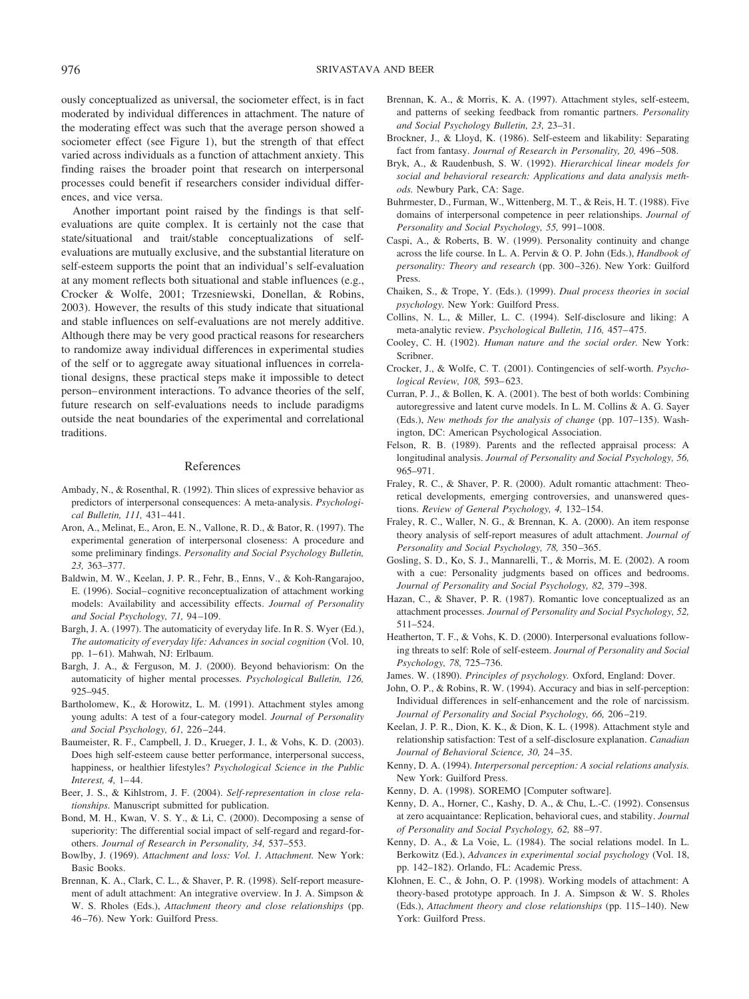ously conceptualized as universal, the sociometer effect, is in fact moderated by individual differences in attachment. The nature of the moderating effect was such that the average person showed a sociometer effect (see Figure 1), but the strength of that effect varied across individuals as a function of attachment anxiety. This finding raises the broader point that research on interpersonal processes could benefit if researchers consider individual differences, and vice versa.

Another important point raised by the findings is that selfevaluations are quite complex. It is certainly not the case that state/situational and trait/stable conceptualizations of selfevaluations are mutually exclusive, and the substantial literature on self-esteem supports the point that an individual's self-evaluation at any moment reflects both situational and stable influences (e.g., Crocker & Wolfe, 2001; Trzesniewski, Donellan, & Robins, 2003). However, the results of this study indicate that situational and stable influences on self-evaluations are not merely additive. Although there may be very good practical reasons for researchers to randomize away individual differences in experimental studies of the self or to aggregate away situational influences in correlational designs, these practical steps make it impossible to detect person– environment interactions. To advance theories of the self, future research on self-evaluations needs to include paradigms outside the neat boundaries of the experimental and correlational traditions.

#### References

- Ambady, N., & Rosenthal, R. (1992). Thin slices of expressive behavior as predictors of interpersonal consequences: A meta-analysis. *Psychological Bulletin, 111,* 431– 441.
- Aron, A., Melinat, E., Aron, E. N., Vallone, R. D., & Bator, R. (1997). The experimental generation of interpersonal closeness: A procedure and some preliminary findings. *Personality and Social Psychology Bulletin, 23,* 363–377.
- Baldwin, M. W., Keelan, J. P. R., Fehr, B., Enns, V., & Koh-Rangarajoo, E. (1996). Social– cognitive reconceptualization of attachment working models: Availability and accessibility effects. *Journal of Personality and Social Psychology, 71,* 94 –109.
- Bargh, J. A. (1997). The automaticity of everyday life. In R. S. Wyer (Ed.), *The automaticity of everyday life: Advances in social cognition* (Vol. 10, pp. 1– 61). Mahwah, NJ: Erlbaum.
- Bargh, J. A., & Ferguson, M. J. (2000). Beyond behaviorism: On the automaticity of higher mental processes. *Psychological Bulletin, 126,* 925–945.
- Bartholomew, K., & Horowitz, L. M. (1991). Attachment styles among young adults: A test of a four-category model. *Journal of Personality and Social Psychology, 61,* 226 –244.
- Baumeister, R. F., Campbell, J. D., Krueger, J. I., & Vohs, K. D. (2003). Does high self-esteem cause better performance, interpersonal success, happiness, or healthier lifestyles? *Psychological Science in the Public Interest, 4,* 1– 44.
- Beer, J. S., & Kihlstrom, J. F. (2004). *Self-representation in close relationships.* Manuscript submitted for publication.
- Bond, M. H., Kwan, V. S. Y., & Li, C. (2000). Decomposing a sense of superiority: The differential social impact of self-regard and regard-forothers. *Journal of Research in Personality, 34,* 537–553.
- Bowlby, J. (1969). *Attachment and loss: Vol. 1. Attachment.* New York: Basic Books.
- Brennan, K. A., Clark, C. L., & Shaver, P. R. (1998). Self-report measurement of adult attachment: An integrative overview. In J. A. Simpson & W. S. Rholes (Eds.), *Attachment theory and close relationships* (pp. 46 –76). New York: Guilford Press.
- Brennan, K. A., & Morris, K. A. (1997). Attachment styles, self-esteem, and patterns of seeking feedback from romantic partners. *Personality and Social Psychology Bulletin, 23,* 23–31.
- Brockner, J., & Lloyd, K. (1986). Self-esteem and likability: Separating fact from fantasy. *Journal of Research in Personality, 20,* 496 –508.
- Bryk, A., & Raudenbush, S. W. (1992). *Hierarchical linear models for social and behavioral research: Applications and data analysis methods.* Newbury Park, CA: Sage.
- Buhrmester, D., Furman, W., Wittenberg, M. T., & Reis, H. T. (1988). Five domains of interpersonal competence in peer relationships. *Journal of Personality and Social Psychology, 55,* 991–1008.
- Caspi, A., & Roberts, B. W. (1999). Personality continuity and change across the life course. In L. A. Pervin & O. P. John (Eds.), *Handbook of personality: Theory and research* (pp. 300–326). New York: Guilford Press.
- Chaiken, S., & Trope, Y. (Eds.). (1999). *Dual process theories in social psychology.* New York: Guilford Press.
- Collins, N. L., & Miller, L. C. (1994). Self-disclosure and liking: A meta-analytic review. *Psychological Bulletin, 116,* 457– 475.
- Cooley, C. H. (1902). *Human nature and the social order.* New York: Scribner.
- Crocker, J., & Wolfe, C. T. (2001). Contingencies of self-worth. *Psychological Review, 108,* 593– 623.
- Curran, P. J., & Bollen, K. A. (2001). The best of both worlds: Combining autoregressive and latent curve models. In L. M. Collins & A. G. Sayer (Eds.), *New methods for the analysis of change* (pp. 107–135). Washington, DC: American Psychological Association.
- Felson, R. B. (1989). Parents and the reflected appraisal process: A longitudinal analysis. *Journal of Personality and Social Psychology, 56,* 965–971.
- Fraley, R. C., & Shaver, P. R. (2000). Adult romantic attachment: Theoretical developments, emerging controversies, and unanswered questions. *Review of General Psychology, 4,* 132–154.
- Fraley, R. C., Waller, N. G., & Brennan, K. A. (2000). An item response theory analysis of self-report measures of adult attachment. *Journal of Personality and Social Psychology, 78,* 350 –365.
- Gosling, S. D., Ko, S. J., Mannarelli, T., & Morris, M. E. (2002). A room with a cue: Personality judgments based on offices and bedrooms. *Journal of Personality and Social Psychology, 82,* 379 –398.
- Hazan, C., & Shaver, P. R. (1987). Romantic love conceptualized as an attachment processes. *Journal of Personality and Social Psychology, 52,* 511–524.
- Heatherton, T. F., & Vohs, K. D. (2000). Interpersonal evaluations following threats to self: Role of self-esteem. *Journal of Personality and Social Psychology, 78,* 725–736.

James. W. (1890). *Principles of psychology.* Oxford, England: Dover.

- John, O. P., & Robins, R. W. (1994). Accuracy and bias in self-perception: Individual differences in self-enhancement and the role of narcissism. *Journal of Personality and Social Psychology, 66,* 206 –219.
- Keelan, J. P. R., Dion, K. K., & Dion, K. L. (1998). Attachment style and relationship satisfaction: Test of a self-disclosure explanation. *Canadian Journal of Behavioral Science, 30,* 24 –35.
- Kenny, D. A. (1994). *Interpersonal perception: A social relations analysis.* New York: Guilford Press.
- Kenny, D. A. (1998). SOREMO [Computer software].
- Kenny, D. A., Horner, C., Kashy, D. A., & Chu, L.-C. (1992). Consensus at zero acquaintance: Replication, behavioral cues, and stability. *Journal of Personality and Social Psychology, 62,* 88 –97.
- Kenny, D. A., & La Voie, L. (1984). The social relations model. In L. Berkowitz (Ed.), *Advances in experimental social psychology* (Vol. 18, pp. 142–182). Orlando, FL: Academic Press.
- Klohnen, E. C., & John, O. P. (1998). Working models of attachment: A theory-based prototype approach. In J. A. Simpson & W. S. Rholes (Eds.), *Attachment theory and close relationships* (pp. 115–140). New York: Guilford Press.